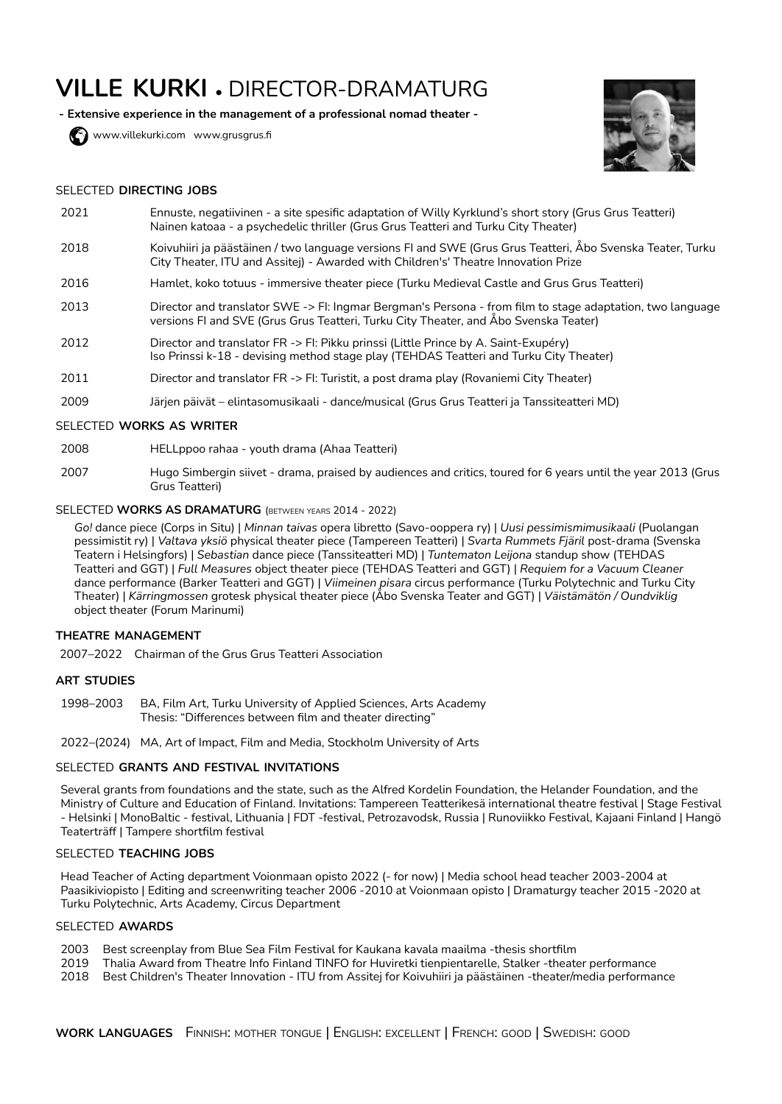# **VILLE KURKI** • DIRECTOR-DRAMATURG

**- Extensive experience in the management of a professional nomad theater -**

www.[villekurki.com](https://www.villekurki.com/) www.grusgrus.fi



#### SELECTED **DIRECTING JOBS**

- 2021 Ennuste, negatiivinen a site spesific adaptation of Willy Kyrklund's short story (Grus Grus Teatteri) Nainen katoaa - a psychedelic thriller (Grus Grus Teatteri and Turku City Theater)
- 2018 Koivuhiiri ja päästäinen / two language versions FI and SWE (Grus Grus Teatteri, Åbo Svenska Teater, Turku City Theater, ITU and Assitej) - Awarded with Children's' Theatre Innovation Prize
- 2016 Hamlet, koko totuus immersive theater piece (Turku Medieval Castle and Grus Grus Teatteri)
- 2013 Director and translator SWE -> FI: Ingmar Bergman's Persona from film to stage adaptation, two language versions FI and SVE (Grus Grus Teatteri, Turku City Theater, and Åbo Svenska Teater)
- 2012 Director and translator FR -> FI: Pikku prinssi (Little Prince by A. Saint-Exupéry) Iso Prinssi k-18 - devising method stage play (TEHDAS Teatteri and Turku City Theater)
- 2011 Director and translator FR -> FI: Turistit, a post drama play (Rovaniemi City Theater)
- 2009 Järjen päivät elintasomusikaali dance/musical (Grus Grus Teatteri ja Tanssiteatteri MD)

#### SELECTED **WORKS AS WRITER**

- 2008 HELLppoo rahaa youth drama (Ahaa Teatteri)
- 2007 Hugo Simbergin siivet drama, praised by audiences and critics, toured for 6 years until the year 2013 (Grus Grus Teatteri)

## SELECTED **WORKS AS DRAMATURG** (BETWEEN YEARS 2014 - 2022)

*Go!* dance piece (Corps in Situ) | *Minnan taivas* opera libretto (Savo-ooppera ry) | *Uusi pessimismimusikaali* (Puolangan pessimistit ry) | *Valtava yksiö* physical theater piece (Tampereen Teatteri) | *Svarta Rummets Fjäril* post-drama (Svenska Teatern i Helsingfors) | *Sebastian* dance piece (Tanssiteatteri MD) | *Tuntematon Leijona* standup show (TEHDAS Teatteri and GGT) | *Full Measures* object theater piece (TEHDAS Teatteri and GGT) | *Requiem for a Vacuum Cleaner* dance performance (Barker Teatteri and GGT) | *Viimeinen pisara* circus performance (Turku Polytechnic and Turku City Theater) | *Kärringmossen* grotesk physical theater piece (Åbo Svenska Teater and GGT) | *Väistämätön / Oundviklig* object theater (Forum Marinumi)

#### **THEATRE MANAGEMENT**

2007–2022 Chairman of the Grus Grus Teatteri Association

#### **ART STUDIES**

1998–2003 BA, Film Art, Turku University of Applied Sciences, Arts Academy Thesis: "Differences between film and theater directing"

2022–(2024) MA, Art of Impact, Film and Media, Stockholm University of Arts

## SELECTED **GRANTS AND FESTIVAL INVITATIONS**

Several grants from foundations and the state, such as the Alfred Kordelin Foundation, the Helander Foundation, and the Ministry of Culture and Education of Finland. Invitations: Tampereen Teatterikesä international theatre festival | Stage Festival - Helsinki | MonoBaltic - festival, Lithuania | FDT -festival, Petrozavodsk, Russia | Runoviikko Festival, Kajaani Finland | Hangö Teaterträff | Tampere shortfilm festival

## SELECTED **TEACHING JOBS**

Head Teacher of Acting department Voionmaan opisto 2022 (- for now) | Media school head teacher 2003-2004 at Paasikiviopisto | Editing and screenwriting teacher 2006 -2010 at Voionmaan opisto | Dramaturgy teacher 2015 -2020 at Turku Polytechnic, Arts Academy, Circus Department

#### SELECTED **AWARDS**

- 2003 Best screenplay from Blue Sea Film Festival for Kaukana kavala maailma -thesis shortfilm
- 2019 Thalia Award from Theatre Info Finland TINFO for Huviretki tienpientarelle, Stalker -theater performance
- 2018 Best Children's Theater Innovation - ITU from Assitej for Koivuhiiri ja päästäinen -theater/media performance